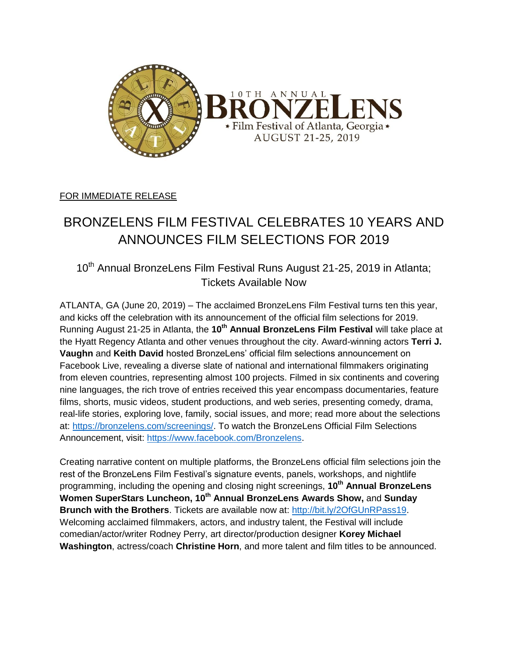

## FOR IMMEDIATE RELEASE

# BRONZELENS FILM FESTIVAL CELEBRATES 10 YEARS AND ANNOUNCES FILM SELECTIONS FOR 2019

10<sup>th</sup> Annual BronzeLens Film Festival Runs August 21-25, 2019 in Atlanta; Tickets Available Now

ATLANTA, GA (June 20, 2019) – The acclaimed BronzeLens Film Festival turns ten this year, and kicks off the celebration with its announcement of the official film selections for 2019. Running August 21-25 in Atlanta, the **10th Annual BronzeLens Film Festival** will take place at the Hyatt Regency Atlanta and other venues throughout the city. Award-winning actors **Terri J. Vaughn** and **Keith David** hosted BronzeLens' official film selections announcement on Facebook Live, revealing a diverse slate of national and international filmmakers originating from eleven countries, representing almost 100 projects. Filmed in six continents and covering nine languages, the rich trove of entries received this year encompass documentaries, feature films, shorts, music videos, student productions, and web series, presenting comedy, drama, real-life stories, exploring love, family, social issues, and more; read more about the selections at: [https://bronzelens.com/screenings/.](https://bronzelens.com/screenings/) To watch the BronzeLens Official Film Selections Announcement, visit: [https://www.facebook.com/Bronzelens.](https://www.facebook.com/Bronzelens)

Creating narrative content on multiple platforms, the BronzeLens official film selections join the rest of the BronzeLens Film Festival's signature events, panels, workshops, and nightlife programming, including the opening and closing night screenings, **10th Annual BronzeLens Women SuperStars Luncheon, 10th Annual BronzeLens Awards Show,** and **Sunday Brunch with the Brothers**. Tickets are available now at: [http://bit.ly/2OfGUnRPass19.](http://bit.ly/2OfGUnRPass19) Welcoming acclaimed filmmakers, actors, and industry talent, the Festival will include comedian/actor/writer Rodney Perry, art director/production designer **Korey Michael Washington**, actress/coach **Christine Horn**, and more talent and film titles to be announced.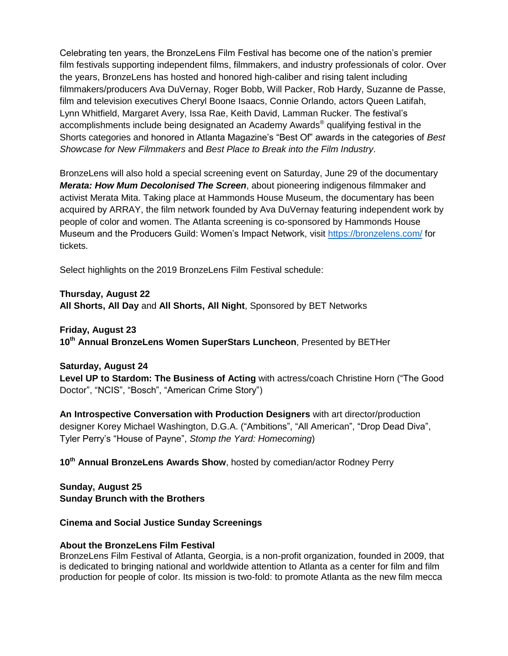Celebrating ten years, the BronzeLens Film Festival has become one of the nation's premier film festivals supporting independent films, filmmakers, and industry professionals of color. Over the years, BronzeLens has hosted and honored high-caliber and rising talent including filmmakers/producers Ava DuVernay, Roger Bobb, Will Packer, Rob Hardy, Suzanne de Passe, film and television executives Cheryl Boone Isaacs, Connie Orlando, actors Queen Latifah, Lynn Whitfield, Margaret Avery, Issa Rae, Keith David, Lamman Rucker. The festival's accomplishments include being designated an Academy Awards ® qualifying festival in the Shorts categories and honored in Atlanta Magazine's "Best Of" awards in the categories of *Best Showcase for New Filmmakers* and *Best Place to Break into the Film Industry*.

BronzeLens will also hold a special screening event on Saturday, June 29 of the documentary *Merata: How Mum Decolonised The Screen*, about pioneering indigenous filmmaker and activist Merata Mita. Taking place at Hammonds House Museum, the documentary has been acquired by ARRAY, the film network founded by Ava DuVernay featuring independent work by people of color and women. The Atlanta screening is co-sponsored by Hammonds House Museum and the Producers Guild: Women's Impact Network, visit <https://bronzelens.com/> for tickets.

Select highlights on the 2019 BronzeLens Film Festival schedule:

**Thursday, August 22 All Shorts, All Day** and **All Shorts, All Night**, Sponsored by BET Networks

### **Friday, August 23**

**10th Annual BronzeLens Women SuperStars Luncheon**, Presented by BETHer

### **Saturday, August 24**

**Level UP to Stardom: The Business of Acting** with actress/coach Christine Horn ("The Good Doctor", "NCIS", "Bosch", "American Crime Story")

**An Introspective Conversation with Production Designers** with art director/production designer Korey Michael Washington, D.G.A. ("Ambitions", "All American", "Drop Dead Diva", Tyler Perry's "House of Payne", *Stomp the Yard: Homecoming*)

**10th Annual BronzeLens Awards Show**, hosted by comedian/actor Rodney Perry

**Sunday, August 25 Sunday Brunch with the Brothers** 

### **Cinema and Social Justice Sunday Screenings**

### **About the BronzeLens Film Festival**

BronzeLens Film Festival of Atlanta, Georgia, is a non-profit organization, founded in 2009, that is dedicated to bringing national and worldwide attention to Atlanta as a center for film and film production for people of color. Its mission is two-fold: to promote Atlanta as the new film mecca